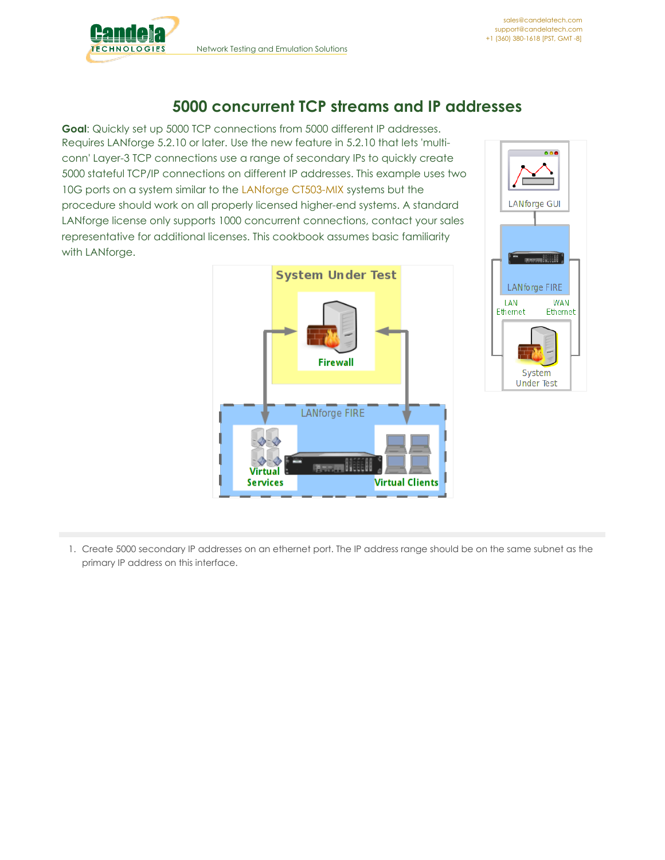

## **5000 concurrent TCP streams and IP addresses**

**Goal**: Quickly set up 5000 TCP connections from 5000 different IP addresses. Requires LANforge 5.2.10 or later. Use the new feature in 5.2.10 that lets 'multiconn' Layer-3 TCP connections use a range of secondary IPs to quickly create 5000 stateful TCP/IP connections on different IP addresses. This example uses two 10G ports on a system similar to the LANforge [CT503-MIX](http://www.candelatech.com/ct503-MIX_product.php) systems but the procedure should work on all properly licensed higher-end systems. A standard LANforge license only supports 1000 concurrent connections, contact your sales representative for additional licenses. This cookbook assumes basic familiarity with LANforge.





1. Create 5000 secondary IP addresses on an ethernet port. The IP address range should be on the same subnet as the primary IP address on this interface.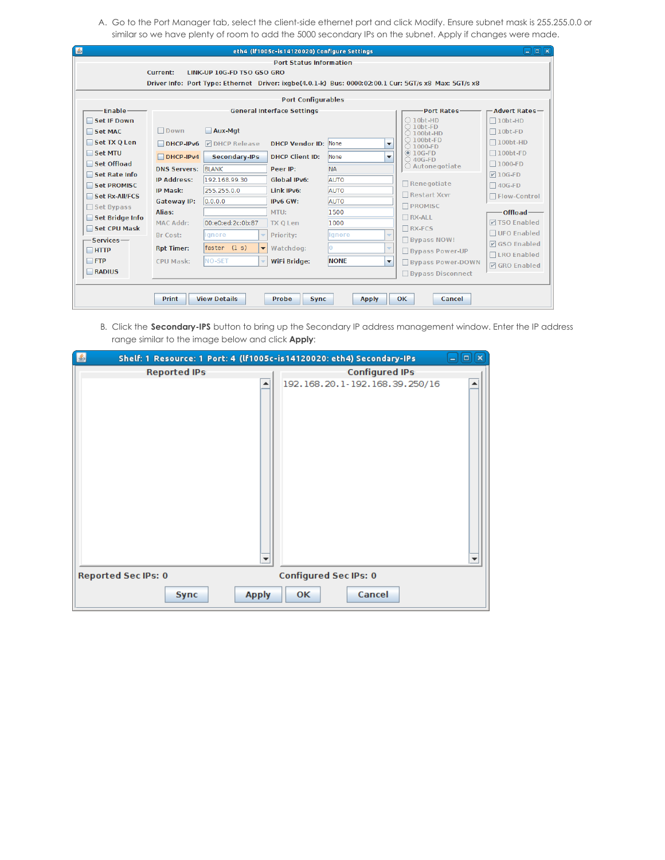A. Go to the Port Manager tab, select the client-side ethernet port and click Modify. Ensure subnet mask is 255.255.0.0 or similar so we have plenty of room to add the 5000 secondary IPs on the subnet. Apply if changes were made.

| $\frac{d}{dx}$<br>$\Box$ iaix<br>eth4 (If1005c-is14120020) Configure Settings                         |                                      |                                          |                             |                          |                          |                                                        |                        |  |  |
|-------------------------------------------------------------------------------------------------------|--------------------------------------|------------------------------------------|-----------------------------|--------------------------|--------------------------|--------------------------------------------------------|------------------------|--|--|
| <b>Port Status Information</b>                                                                        |                                      |                                          |                             |                          |                          |                                                        |                        |  |  |
| Current:<br>LINK-UP 10G-FD TSO GSO GRO                                                                |                                      |                                          |                             |                          |                          |                                                        |                        |  |  |
| Driver Info: Port Type: Ethernet Driver: ixqbe(4.0.1-k) Bus: 0000:02:00.1 Cur: 5GT/s x8 Max: 5GT/s x8 |                                      |                                          |                             |                          |                          |                                                        |                        |  |  |
| <b>Port Configurables</b>                                                                             |                                      |                                          |                             |                          |                          |                                                        |                        |  |  |
| Enable -<br><b>Port Rates-</b><br>-Advert Rates-<br><b>General Interface Settings</b>                 |                                      |                                          |                             |                          |                          |                                                        |                        |  |  |
| Set IF Down                                                                                           | $\bigcirc$ 10bt-HD<br>$\Box$ 10bt-HD |                                          |                             |                          |                          |                                                        |                        |  |  |
| Set MAC                                                                                               | $\Box$ Down                          | Aux-Mgt                                  |                             |                          |                          | $\bigcirc$ 10bt-FD<br>$\bigcirc$ 100 <sub>bt</sub> .HD | $\Box$ 10bt-FD         |  |  |
| $\blacksquare$ Set TX Q Len                                                                           | $DHCP-IPv6$                          | <b>DIDHCP Release</b>                    | <b>DHCP Vendor ID: None</b> |                          | $\overline{\phantom{a}}$ | $\bigcirc$ 100bt-FD<br>$\bigcirc$ 1000-FD              | $\Box$ 100bt-HD        |  |  |
| Set MTU                                                                                               | $DHCP-IPv4$                          | Secondary-IPs                            | <b>DHCP Client ID:</b>      | <b>None</b>              | ▼                        | $@10G-FD$<br>$\bigcirc$ 40G-FD                         | $\Box$ 100bt-FD        |  |  |
| □ Set Offload                                                                                         | <b>DNS Servers: BLANK</b>            |                                          | ○ Autonegotiate             | $\Box$ 1000-FD           |                          |                                                        |                        |  |  |
| Set Rate Info                                                                                         | <b>IP Address:</b>                   | 192.168.99.30                            | Peer IP:<br>Global IPv6:    | <b>NA</b><br><b>AUTO</b> |                          |                                                        | $\triangledown$ 10G-FD |  |  |
| Set PROMISC                                                                                           | <b>IP Mask:</b>                      | 255.255.0.0                              | Link IPv6:                  | <b>AUTO</b>              |                          | $\Box$ Renegotiate                                     | $\Box$ 40G-FD          |  |  |
| Set Rx-All/FCS                                                                                        | Gateway IP:                          | 0.0.0.0                                  | IPv6 GW:                    | <b>AUTO</b>              |                          | $\Box$ Restart Xcvr                                    | □ Flow-Control         |  |  |
| $\Box$ Set Bypass                                                                                     | Alias:                               |                                          | MTU:                        | 1500                     |                          | <b>PROMISC</b>                                         | -Offload-              |  |  |
| Set Bridge Info                                                                                       | <b>MAC Addr:</b>                     | 00:e0:ed:2c:0b:87                        | <b>TX O Len</b>             | 1000                     |                          | $\Box$ RX-ALL                                          | <b>DISO Enabled</b>    |  |  |
| Set CPU Mask                                                                                          | Br Cost:                             | lgnore                                   | Priority:                   | lignore                  | $\overline{\phantom{a}}$ | $\n  RX-FCS\n$                                         | $\Box$ UFO Enabled     |  |  |
| -Services-                                                                                            |                                      | faster (1 s)<br>$\overline{\phantom{a}}$ | Watchdog:                   | o                        | $\overline{\phantom{a}}$ | <b>Bypass NOW!</b>                                     | <b>Ø</b> GSO Enabled   |  |  |
| $\Box$ HTTP                                                                                           | <b>Rpt Timer:</b>                    |                                          |                             |                          |                          | <b>Bypass Power-UP</b>                                 | □LRO Enabled           |  |  |
| $\Box$ FTP                                                                                            | CPU Mask:                            | <b>NO-SET</b>                            | <b>WiFi Bridge:</b>         | <b>NONE</b>              | $\overline{\phantom{a}}$ | <b>Bypass Power-DOWN</b>                               | <b>V</b> GRO Enabled   |  |  |
| RADIUS<br>□ Bypass Disconnect                                                                         |                                      |                                          |                             |                          |                          |                                                        |                        |  |  |
|                                                                                                       |                                      |                                          |                             |                          |                          |                                                        |                        |  |  |
| <b>View Details</b><br><b>Print</b><br><b>Probe</b><br><b>Apply</b><br>OK.<br>Cancel<br><b>Sync</b>   |                                      |                                          |                             |                          |                          |                                                        |                        |  |  |

B. Click the **Secondary-IPS** button to bring up the Secondary IP address management window. Enter the IP address range similar to the image below and click **Apply**:

| 圖<br>Shelf: 1 Resource: 1 Port: 4 (If1005c-is14120020: eth4) Secondary-IPs | $\Box$ $\Box$ $\Box$ $\Box$         |
|----------------------------------------------------------------------------|-------------------------------------|
| <b>Reported IPs</b>                                                        | <b>Configured IPs</b>               |
| ▼                                                                          | 192.168.20.1-192.168.39.250/16<br>▼ |
| <b>Reported Sec IPs: 0</b>                                                 | <b>Configured Sec IPs: 0</b>        |
| <b>Apply</b><br>Sync                                                       | Cancel<br><b>OK</b>                 |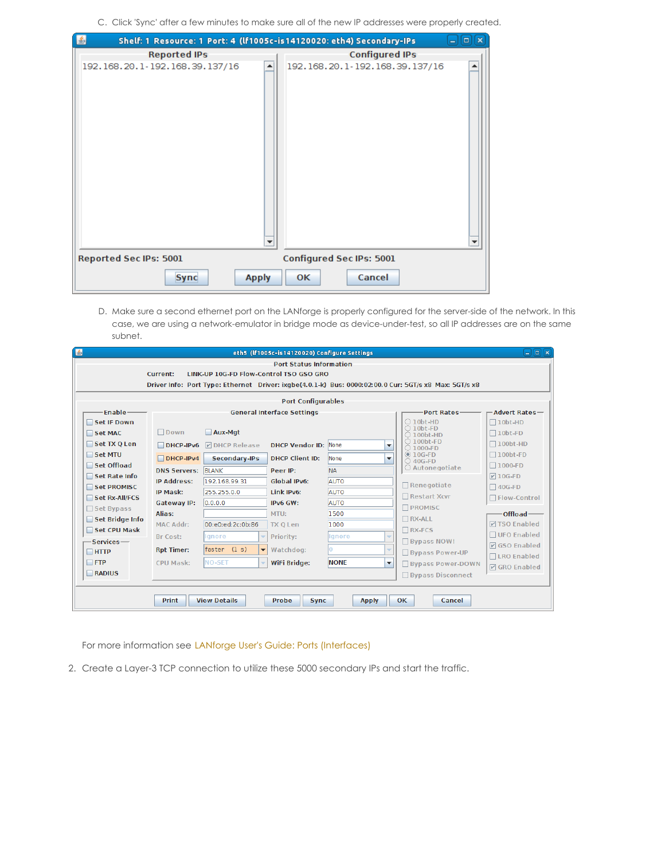C. Click 'Sync' after a few minutes to make sure all of the new IP addresses were properly created.

| $\vert \underline{\mathscr{L}} \vert$ | Shelf: 1 Resource: 1 Port: 4 (If1005c-is14120020: eth4) Secondary-IPs | $\mathbf x$<br>$\Box$ |
|---------------------------------------|-----------------------------------------------------------------------|-----------------------|
| <b>Reported IPs</b>                   | <b>Configured IPs</b>                                                 |                       |
| 192.168.20.1-192.168.39.137/16        | 192.168.20.1-192.168.39.137/16                                        |                       |
| <b>Reported Sec IPs: 5001</b>         | <b>Configured Sec IPs: 5001</b>                                       |                       |
| <b>Sync</b>                           | Cancel<br><b>Apply</b><br><b>OK</b>                                   |                       |

D. Make sure a second ethernet port on the LANforge is properly configured for the server-side of the network. In this case, we are using a network-emulator in bridge mode as device-under-test, so all IP addresses are on the same subnet.

| $\Box$ o $\bm{\kappa}$<br>▲<br>eth5 (If1005c-is14120020) Configure Settings                           |                                                                                |                                                                           |                             |             |                          |                                           |                                      |  |  |  |
|-------------------------------------------------------------------------------------------------------|--------------------------------------------------------------------------------|---------------------------------------------------------------------------|-----------------------------|-------------|--------------------------|-------------------------------------------|--------------------------------------|--|--|--|
| <b>Port Status Information</b>                                                                        |                                                                                |                                                                           |                             |             |                          |                                           |                                      |  |  |  |
| LINK-UP 10G-ED Flow-Control TSO GSO GRO<br><b>Current:</b>                                            |                                                                                |                                                                           |                             |             |                          |                                           |                                      |  |  |  |
| Driver Info: Port Type: Ethernet Driver: ixqbe(4.0.1-k) Bus: 0000:02:00.0 Cur: 5GT/s x8 Max: 5GT/s x8 |                                                                                |                                                                           |                             |             |                          |                                           |                                      |  |  |  |
| <b>Port Configurables</b>                                                                             |                                                                                |                                                                           |                             |             |                          |                                           |                                      |  |  |  |
| Enable-<br>$-A$ dvert Rates $-$<br><b>General Interface Settings</b><br><b>Port Rates-</b>            |                                                                                |                                                                           |                             |             |                          |                                           |                                      |  |  |  |
| Set IF Down                                                                                           | $\bigcirc$ 10bt-HD<br>$\Box$ 10bt-HD                                           |                                                                           |                             |             |                          |                                           |                                      |  |  |  |
| Set MAC                                                                                               | $\bigcirc$ 10bt-FD<br>Aux-Mgt<br>Down<br>$\Box$ 10bt-FD<br>$\bigcirc$ 100bt-HD |                                                                           |                             |             |                          |                                           |                                      |  |  |  |
| Set TX Q Len                                                                                          | $\Box$ DHCP-IPv6                                                               | <b>DIDHCP Release</b>                                                     | <b>DHCP Vendor ID: None</b> |             | $\overline{\phantom{a}}$ | $\bigcirc$ 100bt-FD<br>$\bigcirc$ 1000-FD | $\Box$ 100bt-HD                      |  |  |  |
| Set MTU                                                                                               | $DHCP-IPv4$                                                                    | Secondary-IPs                                                             | <b>DHCP Client ID:</b>      | <b>None</b> | $\overline{\phantom{a}}$ | $@10G-FD$                                 | $\Box$ 100bt-FD                      |  |  |  |
| Set Offload                                                                                           |                                                                                | $\bigcirc$ 40G-FD<br>○ Autonegotiate                                      | $\Box$ 1000-FD              |             |                          |                                           |                                      |  |  |  |
| Set Rate Info                                                                                         | <b>BLANK</b><br><b>NA</b><br><b>DNS Servers:</b><br>Peer IP:                   |                                                                           |                             |             |                          | $\nabla$ 10G-FD                           |                                      |  |  |  |
| Set PROMISC                                                                                           |                                                                                | 192.168.99.31<br><b>AUTO</b><br><b>IP Address:</b><br><b>Global IPv6:</b> |                             | Renegotiate | $\Box$ 40G-FD            |                                           |                                      |  |  |  |
| Set Rx-All/FCS                                                                                        | IP Mask:                                                                       | 255.255.0.0                                                               | Link IPv6:                  | AUTO        |                          | Restart Xcvr                              | □ Flow-Control                       |  |  |  |
| $\Box$ Set Bypass                                                                                     | Gateway IP:                                                                    | 0.0.0.0                                                                   | IPv6 GW:                    | <b>AUTO</b> |                          | <b>T</b> PROMISC                          |                                      |  |  |  |
| Set Bridge Info                                                                                       | Alias:                                                                         |                                                                           | MTU:                        | 1500        |                          | $\Box$ RX-ALL                             | -Offload-                            |  |  |  |
| Set CPU Mask                                                                                          | <b>MAC Addr:</b>                                                               | 00:e0:ed:2c:0b:86                                                         | <b>TX Q Len</b>             | 1000        |                          | $\Box$ RX-FCS                             | <b>Z</b> TSO Enabled                 |  |  |  |
| $S$ ervices $-$                                                                                       | Br Cost:                                                                       | lignore                                                                   | Priority:                   | lignore     |                          | $\Box$ Bypass NOW!                        | □ UFO Enabled                        |  |  |  |
| $\Box$ HTTP                                                                                           | <b>Rpt Timer:</b>                                                              | $faster$ $(1 s)$<br>$\overline{\phantom{a}}$                              | Watchdog:                   | n           |                          | <b>Bypass Power-UP</b>                    | <b>Ø</b> GSO Enabled                 |  |  |  |
| $\Box$ FTP                                                                                            | CPU Mask:                                                                      | <b>NO-SET</b>                                                             | WiFi Bridge:                | <b>NONE</b> | $\overline{\phantom{a}}$ | <b>Bypass Power-DOWN</b>                  | □LRO Enabled<br><b>☑ GRO Enabled</b> |  |  |  |
| RADIUS<br>□ Bypass Disconnect                                                                         |                                                                                |                                                                           |                             |             |                          |                                           |                                      |  |  |  |
|                                                                                                       |                                                                                |                                                                           |                             |             |                          |                                           |                                      |  |  |  |
|                                                                                                       | <b>View Details</b>                                                            |                                                                           |                             |             |                          |                                           |                                      |  |  |  |
|                                                                                                       | <b>Print</b><br>Probe<br>OK<br><b>Apply</b><br>Cancel<br><b>Sync</b>           |                                                                           |                             |             |                          |                                           |                                      |  |  |  |

For more information see LANforge User's Guide: Ports [\(Interfaces\)](http://www.candelatech.com/lfgui_ug.php#port)

2. Create a Layer-3 TCP connection to utilize these 5000 secondary IPs and start the traffic.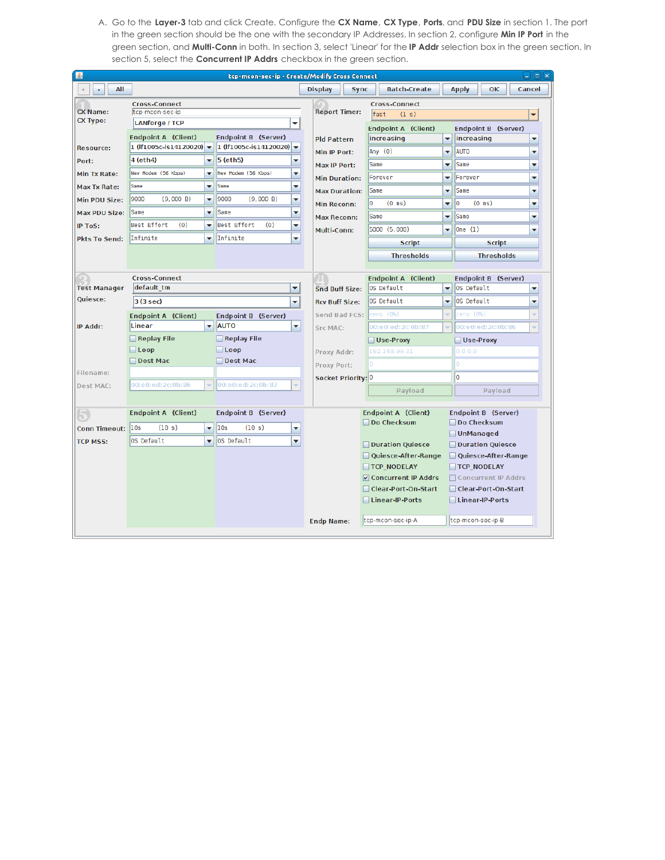A. Go to the **Layer-3** tab and click Create. Configure the **CX Name**, **CX Type**, **Ports**, and **PDU Size** in section 1. The port in the green section should be the one with the secondary IP Addresses. In section 2, configure **Min IP Port** in the green section, and **Multi-Conn** in both. In section 3, select 'Linear' for the **IP Addr** selection box in the green section. In section 5, select the **Concurrent IP Addrs** checkbox in the green section.

| $\Box$ $\Box$ $\Box$<br>圖<br>tcp-mcon-sec-ip - Create/Modify Cross Connect |                                             |                          |                            |                          |                               |                      |                            |                          |                                                |  |  |
|----------------------------------------------------------------------------|---------------------------------------------|--------------------------|----------------------------|--------------------------|-------------------------------|----------------------|----------------------------|--------------------------|------------------------------------------------|--|--|
| All                                                                        |                                             |                          |                            |                          | <b>Display</b><br><b>Sync</b> |                      | <b>Batch-Create</b>        |                          | <b>Apply</b><br>OK<br>Cancel                   |  |  |
|                                                                            | <b>Cross-Connect</b>                        |                          |                            |                          |                               | <b>Cross-Connect</b> |                            |                          |                                                |  |  |
| <b>CX Name:</b><br><b>CX Type:</b>                                         | tcp-mcon-sec-ip                             |                          |                            |                          | <b>Report Timer:</b>          |                      | fast<br>(1 s)              | $\overline{\phantom{0}}$ |                                                |  |  |
|                                                                            | <b>LANforge / TCP</b>                       |                          | $\overline{\phantom{a}}$   |                          |                               |                      | <b>Endpoint A (Client)</b> |                          | <b>Endpoint B (Server)</b>                     |  |  |
|                                                                            | <b>Endpoint A (Client)</b>                  |                          | Endpoint B (Server)        |                          | <b>Pld Pattern</b>            |                      | increasing                 | $\overline{\phantom{a}}$ | increasing<br>÷                                |  |  |
| <b>Resource:</b>                                                           | 1 (If1005c-is14120020) $\blacktriangledown$ |                          | 1 (If1005c-is14120020)     | $\overline{\phantom{0}}$ | Min IP Port:                  |                      | Any $(0)$                  | $\overline{\phantom{0}}$ | <b>AUTO</b><br>▼                               |  |  |
| Port:                                                                      | 4 (eth4)                                    | $\overline{\phantom{a}}$ | 5 (eth5)                   | $\overline{\phantom{a}}$ | <b>Max IP Port:</b>           |                      | Same                       | ▼                        | <b>Same</b><br>▼                               |  |  |
| Min Tx Rate:                                                               | New Modem (56 Kbps)                         | ٠                        | New Modem (56 Kbps)        | ÷                        | <b>Min Duration:</b>          |                      | Forever                    | ▼                        | Forever<br>▼                                   |  |  |
| <b>Max Tx Rate:</b>                                                        | Same                                        | $\overline{\phantom{0}}$ | Same                       | ▼                        | <b>Max Duration:</b>          |                      | Same                       | $\blacktriangledown$     | <b>Same</b><br>۰                               |  |  |
| Min PDU Size:                                                              | 9000<br>(9,000 B)                           | ۰                        | 9000<br>(9,000 B)          | ▼                        | <b>Min Reconn:</b>            | I٥                   | $(0 \text{ ms})$           | $\blacktriangledown$     | lo<br>$(0 \text{ ms})$<br>$\blacktriangledown$ |  |  |
| <b>Max PDU Size:</b>                                                       | Same                                        | ٠                        | Same                       | ÷                        | <b>Max Reconn:</b>            |                      | Same                       | $\overline{\mathbf{v}}$  | <b>Same</b><br>▼                               |  |  |
| <b>IP ToS:</b>                                                             | <b>Best Effort</b><br>(0)                   | ٠                        | Best Effort<br>(0)         | ٠                        | <b>Multi-Conn:</b>            |                      | 5000 (5,000)               | $\overline{\phantom{a}}$ | One(1) <br>▼                                   |  |  |
| <b>Pkts To Send:</b>                                                       | Infinite                                    | ٠                        | Infinite                   | ٠                        |                               | <b>Script</b>        |                            |                          | <b>Script</b>                                  |  |  |
|                                                                            |                                             |                          |                            |                          |                               |                      | <b>Thresholds</b>          |                          | <b>Thresholds</b>                              |  |  |
|                                                                            |                                             |                          |                            |                          |                               |                      |                            |                          |                                                |  |  |
|                                                                            | <b>Cross-Connect</b>                        |                          |                            |                          |                               |                      | <b>Endpoint A (Client)</b> |                          | Endpoint B (Server)                            |  |  |
| <b>Test Manager</b>                                                        | default_tm                                  |                          | $\blacktriangledown$       |                          | <b>Snd Buff Size:</b>         |                      | OS Default                 | $\blacktriangledown$     | OS Default<br>$\blacktriangledown$             |  |  |
| Quiesce:                                                                   | 3(3 sec)                                    |                          | ▼                          |                          | <b>Rcv Buff Size:</b>         |                      | OS Default                 | $\overline{\mathbf{v}}$  | OS Default<br>▼                                |  |  |
|                                                                            | <b>Endpoint A (Client)</b>                  |                          | <b>Endpoint B (Server)</b> |                          | Send Bad FCS:                 |                      | zero (O%)                  |                          | zero (0%)                                      |  |  |
| IP Addr:                                                                   | Linear                                      | $\overline{\phantom{a}}$ | <b>AUTO</b>                | $\overline{\phantom{0}}$ | <b>Src MAC:</b>               |                      | 00:e0:ed:2c:0b:87          |                          | 00: e0: ed: 2c: 0b: 86                         |  |  |
|                                                                            | Replay File                                 |                          | $\Box$ Replay File         |                          |                               | Use-Proxy            |                            |                          | Use-Proxy                                      |  |  |
|                                                                            | $\Box$ Loop                                 |                          | $\Box$ Loop                |                          | Proxy Addr:                   |                      | 192.168.99.31              |                          | 0.0.0.0                                        |  |  |
|                                                                            | Dest Mac                                    |                          | Dest Mac                   |                          | Proxy Port:                   |                      |                            |                          | 0                                              |  |  |
| <b>Filename:</b>                                                           |                                             |                          |                            |                          | Socket Priority: 0            |                      |                            |                          | o                                              |  |  |
| <b>Dest MAC:</b>                                                           | 00: e0: ed: 2c: 0b: 86                      |                          | 00: e0: ed: 2c: 0b: 87     |                          |                               |                      | Payload                    |                          | Payload                                        |  |  |
|                                                                            |                                             |                          |                            |                          |                               |                      |                            |                          |                                                |  |  |
|                                                                            | <b>Endpoint A (Client)</b>                  |                          | Endpoint B (Server)        |                          |                               |                      | <b>Endpoint A (Client)</b> |                          | Endpoint B (Server)                            |  |  |
| <b>Conn Timeout:</b>                                                       | 10s<br>(10 s)                               | ٠                        | 10s<br>(10 s)              | ▼                        |                               |                      | Do Checksum                |                          | Do Checksum<br><b>UnManaged</b>                |  |  |
| <b>TCP MSS:</b>                                                            | OS Default                                  | ٠                        | OS Default                 | $\overline{\phantom{a}}$ |                               |                      | Duration Quiesce           |                          | Duration Quiesce                               |  |  |
|                                                                            |                                             |                          |                            |                          |                               |                      | Quiesce-After-Range        |                          | Quiesce-After-Range                            |  |  |
|                                                                            |                                             |                          |                            |                          |                               |                      | <b>TCP_NODELAY</b>         |                          | <b>TCP_NODELAY</b>                             |  |  |
|                                                                            |                                             |                          |                            |                          |                               |                      | Concurrent IP Addrs        |                          | □ Concurrent IP Addrs                          |  |  |
|                                                                            |                                             |                          |                            |                          |                               |                      | □ Clear-Port-On-Start      |                          | □ Clear-Port-On-Start                          |  |  |
|                                                                            |                                             |                          |                            |                          |                               |                      | Linear-IP-Ports            |                          | Linear-IP-Ports                                |  |  |
|                                                                            |                                             |                          |                            |                          | <b>Endp Name:</b>             |                      | tcp-mcon-sec-ip-A          |                          | tcp-mcon-sec-ip-B                              |  |  |
|                                                                            |                                             |                          |                            |                          |                               |                      |                            |                          |                                                |  |  |